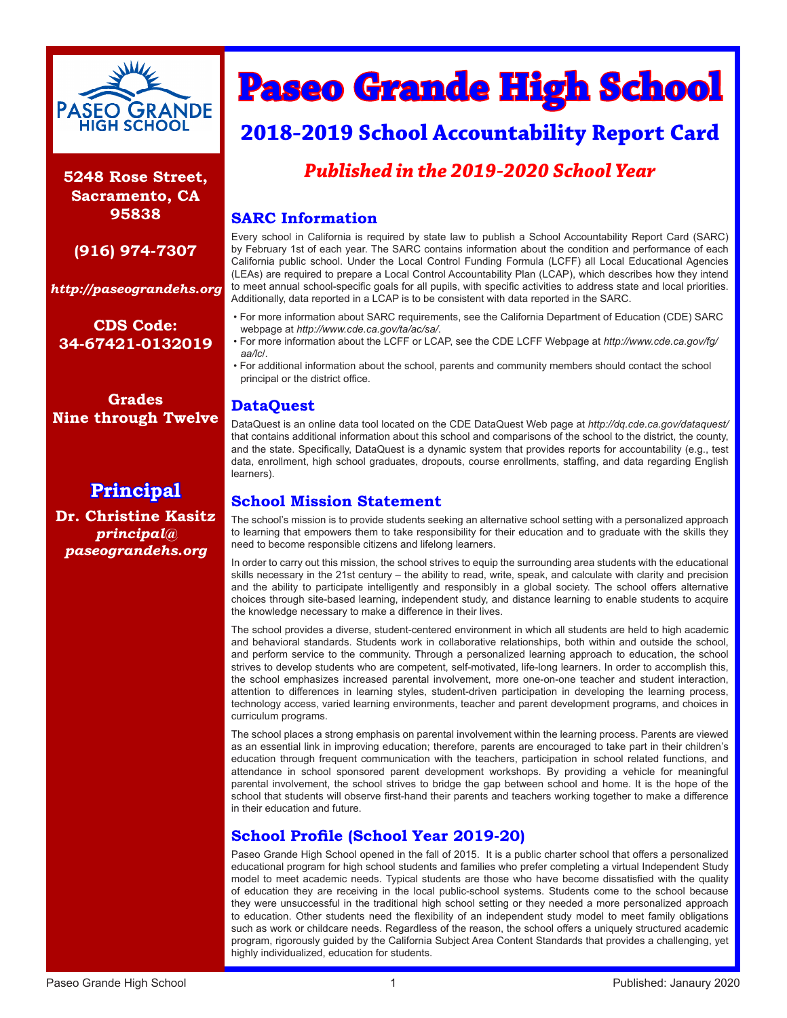

**5248 Rose Street, Sacramento, CA 95838**

**(916) 974-7307**

*http://paseograndehs.org*

**CDS Code: 34-67421-0132019** 

**Grades Nine through Twelve**

**Principal Dr. Christine Kasitz** *principal@ paseograndehs.org*

# **Paseo Grande High School**

# **2018-2019 School Accountability Report Card**

# *Published in the 2019-2020 School Year*

#### **SARC Information**

Every school in California is required by state law to publish a School Accountability Report Card (SARC) by February 1st of each year. The SARC contains information about the condition and performance of each California public school. Under the Local Control Funding Formula (LCFF) all Local Educational Agencies (LEAs) are required to prepare a Local Control Accountability Plan (LCAP), which describes how they intend to meet annual school-specific goals for all pupils, with specific activities to address state and local priorities. Additionally, data reported in a LCAP is to be consistent with data reported in the SARC.

- For more information about SARC requirements, see the California Department of Education (CDE) SARC webpage at *http://www.cde.ca.gov/ta/ac/sa/*.
- For more information about the LCFF or LCAP, see the CDE LCFF Webpage at *http://www.cde.ca.gov/fg/ aa/lc*/.
- For additional information about the school, parents and community members should contact the school principal or the district office.

## **DataQuest**

DataQuest is an online data tool located on the CDE DataQuest Web page at *http://dq.cde.ca.gov/dataquest/* that contains additional information about this school and comparisons of the school to the district, the county, and the state. Specifically, DataQuest is a dynamic system that provides reports for accountability (e.g., test data, enrollment, high school graduates, dropouts, course enrollments, staffing, and data regarding English learners).

#### **School Mission Statement**

The school's mission is to provide students seeking an alternative school setting with a personalized approach to learning that empowers them to take responsibility for their education and to graduate with the skills they need to become responsible citizens and lifelong learners.

In order to carry out this mission, the school strives to equip the surrounding area students with the educational skills necessary in the 21st century – the ability to read, write, speak, and calculate with clarity and precision and the ability to participate intelligently and responsibly in a global society. The school offers alternative choices through site-based learning, independent study, and distance learning to enable students to acquire the knowledge necessary to make a difference in their lives.

The school provides a diverse, student-centered environment in which all students are held to high academic and behavioral standards. Students work in collaborative relationships, both within and outside the school, and perform service to the community. Through a personalized learning approach to education, the school strives to develop students who are competent, self-motivated, life-long learners. In order to accomplish this, the school emphasizes increased parental involvement, more one-on-one teacher and student interaction, attention to differences in learning styles, student-driven participation in developing the learning process, technology access, varied learning environments, teacher and parent development programs, and choices in curriculum programs.

The school places a strong emphasis on parental involvement within the learning process. Parents are viewed as an essential link in improving education; therefore, parents are encouraged to take part in their children's education through frequent communication with the teachers, participation in school related functions, and attendance in school sponsored parent development workshops. By providing a vehicle for meaningful parental involvement, the school strives to bridge the gap between school and home. It is the hope of the school that students will observe first-hand their parents and teachers working together to make a difference in their education and future.

## **School Profile (School Year 2019-20)**

Paseo Grande High School opened in the fall of 2015. It is a public charter school that offers a personalized educational program for high school students and families who prefer completing a virtual Independent Study model to meet academic needs. Typical students are those who have become dissatisfied with the quality of education they are receiving in the local public-school systems. Students come to the school because they were unsuccessful in the traditional high school setting or they needed a more personalized approach to education. Other students need the flexibility of an independent study model to meet family obligations such as work or childcare needs. Regardless of the reason, the school offers a uniquely structured academic program, rigorously guided by the California Subject Area Content Standards that provides a challenging, yet highly individualized, education for students.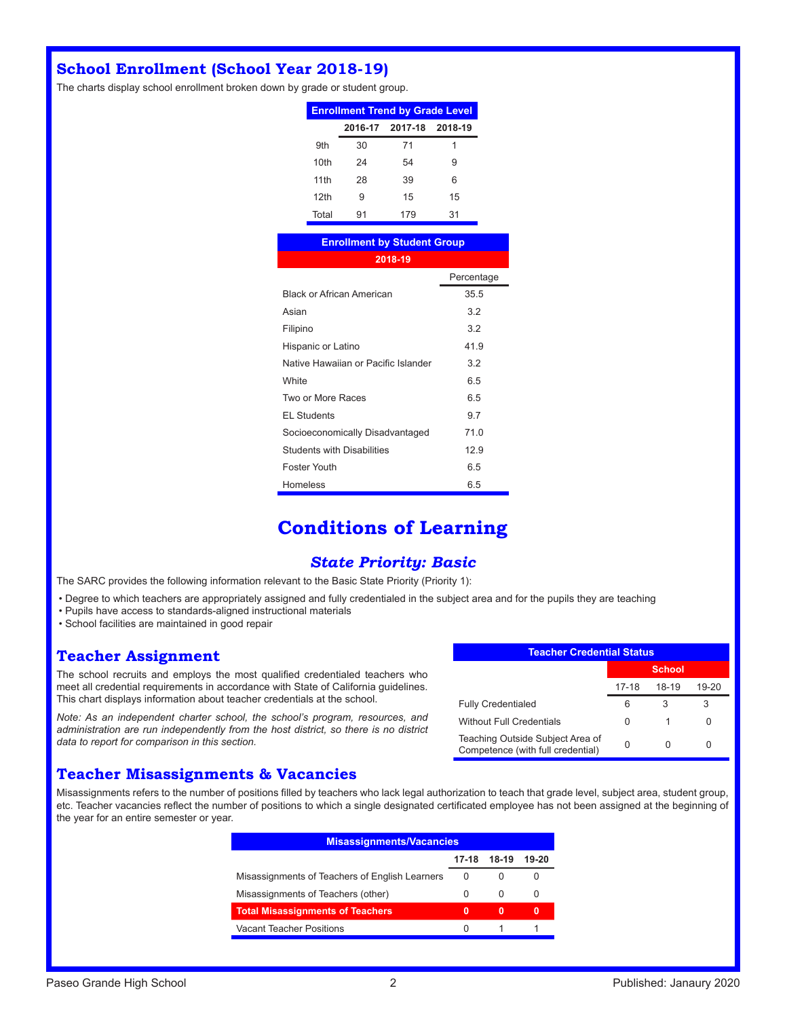# **School Enrollment (School Year 2018-19)**

The charts display school enrollment broken down by grade or student group.

| <b>Enrollment Trend by Grade Level</b> |                 |         |    |  |  |
|----------------------------------------|-----------------|---------|----|--|--|
|                                        | 2016-17 2017-18 | 2018-19 |    |  |  |
| 9th                                    | 30              | 71      | 1  |  |  |
| 10th                                   | 24              | 54      | 9  |  |  |
| 11th                                   | 28              | 39      | 6  |  |  |
| 12th                                   | 9               | 15      | 15 |  |  |
| Total                                  | 91              | 179     | 31 |  |  |

| <b>Enrollment by Student Group</b>  |            |
|-------------------------------------|------------|
| 2018-19                             |            |
|                                     | Percentage |
| <b>Black or African American</b>    | 35.5       |
| Asian                               | 3.2        |
| Filipino                            | 3.2        |
| Hispanic or Latino                  | 41.9       |
| Native Hawaiian or Pacific Islander | 3.2        |
| White                               | 6.5        |
| Two or More Races                   | 6.5        |
| <b>EL Students</b>                  | 9.7        |
| Socioeconomically Disadvantaged     | 71.0       |
| <b>Students with Disabilities</b>   | 12.9       |
| <b>Foster Youth</b>                 | 6.5        |
| Homeless                            | 6.5        |

# **Conditions of Learning**

#### *State Priority: Basic*

The SARC provides the following information relevant to the Basic State Priority (Priority 1):

• Degree to which teachers are appropriately assigned and fully credentialed in the subject area and for the pupils they are teaching

- Pupils have access to standards-aligned instructional materials
- School facilities are maintained in good repair

#### **Teacher Assignment**

The school recruits and employs the most qualified credentialed teachers who meet all credential requirements in accordance with State of California guidelines. This chart displays information about teacher credentials at the school.

*Note: As an independent charter school, the school's program, resources, and administration are run independently from the host district, so there is no district data to report for comparison in this section.* 

#### **Teacher Misassignments & Vacancies**

Misassignments refers to the number of positions filled by teachers who lack legal authorization to teach that grade level, subject area, student group, etc. Teacher vacancies reflect the number of positions to which a single designated certificated employee has not been assigned at the beginning of the year for an entire semester or year.

| <b>Misassignments/Vacancies</b>                |          |          |       |  |  |
|------------------------------------------------|----------|----------|-------|--|--|
|                                                | $17-18$  | 18-19    | 19-20 |  |  |
| Misassignments of Teachers of English Learners | 0        | 0        |       |  |  |
| Misassignments of Teachers (other)             |          | $\Omega$ | 0     |  |  |
| <b>Total Misassignments of Teachers</b>        | 0        | 0        | 0     |  |  |
| Vacant Teacher Positions                       | $\Omega$ |          |       |  |  |

| <b>Teacher Credential Status</b>                                      |               |       |           |  |  |
|-----------------------------------------------------------------------|---------------|-------|-----------|--|--|
|                                                                       | <b>School</b> |       |           |  |  |
|                                                                       | 17-18         | 18-19 | $19 - 20$ |  |  |
| <b>Fully Credentialed</b>                                             | ิค            | 3     | З         |  |  |
| <b>Without Full Credentials</b>                                       | O             | 1     |           |  |  |
| Teaching Outside Subject Area of<br>Competence (with full credential) |               |       |           |  |  |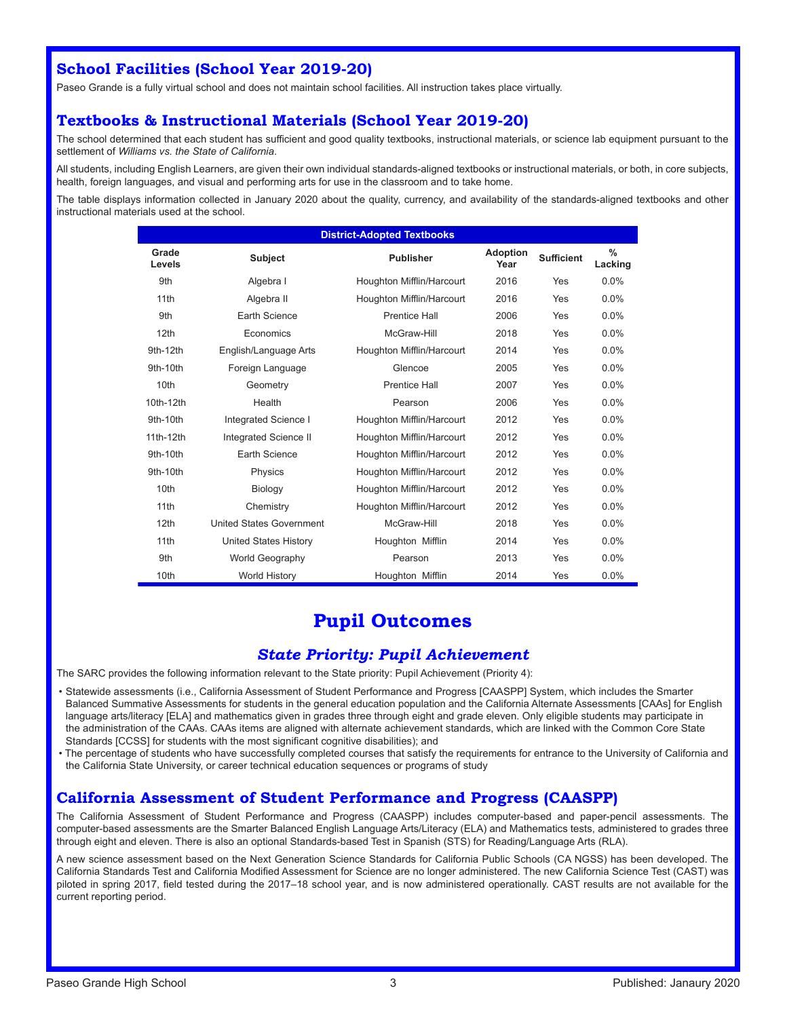## **School Facilities (School Year 2019-20)**

Paseo Grande is a fully virtual school and does not maintain school facilities. All instruction takes place virtually.

### **Textbooks & Instructional Materials (School Year 2019-20)**

The school determined that each student has sufficient and good quality textbooks, instructional materials, or science lab equipment pursuant to the settlement of *Williams vs. the State of California*.

All students, including English Learners, are given their own individual standards-aligned textbooks or instructional materials, or both, in core subjects, health, foreign languages, and visual and performing arts for use in the classroom and to take home.

The table displays information collected in January 2020 about the quality, currency, and availability of the standards-aligned textbooks and other instructional materials used at the school.

| <b>District-Adopted Textbooks</b> |                                 |                           |                         |                   |                          |  |
|-----------------------------------|---------------------------------|---------------------------|-------------------------|-------------------|--------------------------|--|
| Grade<br>Levels                   | <b>Subject</b>                  | <b>Publisher</b>          | <b>Adoption</b><br>Year | <b>Sufficient</b> | $\frac{0}{2}$<br>Lacking |  |
| 9th                               | Algebra I                       | Houghton Mifflin/Harcourt | 2016                    | Yes               | 0.0%                     |  |
| 11th                              | Algebra II                      | Houghton Mifflin/Harcourt | 2016                    | Yes               | 0.0%                     |  |
| 9th                               | Earth Science                   | <b>Prentice Hall</b>      | 2006                    | Yes               | 0.0%                     |  |
| 12 <sub>th</sub>                  | Economics                       | McGraw-Hill               | 2018                    | Yes               | $0.0\%$                  |  |
| 9th-12th                          | English/Language Arts           | Houghton Mifflin/Harcourt | 2014                    | Yes               | 0.0%                     |  |
| 9th-10th                          | Foreign Language                | Glencoe                   | 2005                    | Yes               | 0.0%                     |  |
| 10th                              | Geometry                        | Prentice Hall             | 2007                    | Yes               | $0.0\%$                  |  |
| 10th-12th                         | Health                          | Pearson                   | 2006                    | Yes               | 0.0%                     |  |
| 9th-10th                          | Integrated Science I            | Houghton Mifflin/Harcourt | 2012                    | Yes               | 0.0%                     |  |
| 11th-12th                         | Integrated Science II           | Houghton Mifflin/Harcourt | 2012                    | Yes               | 0.0%                     |  |
| 9th-10th                          | Earth Science                   | Houghton Mifflin/Harcourt | 2012                    | Yes               | 0.0%                     |  |
| 9th-10th                          | Physics                         | Houghton Mifflin/Harcourt | 2012                    | Yes               | 0.0%                     |  |
| 10th                              | Biology                         | Houghton Mifflin/Harcourt | 2012                    | Yes               | 0.0%                     |  |
| 11th                              | Chemistry                       | Houghton Mifflin/Harcourt | 2012                    | Yes               | 0.0%                     |  |
| 12 <sub>th</sub>                  | <b>United States Government</b> | McGraw-Hill               | 2018                    | Yes               | 0.0%                     |  |
| 11 <sub>th</sub>                  | <b>United States History</b>    | Houghton Mifflin          | 2014                    | Yes               | 0.0%                     |  |
| 9th                               | World Geography                 | Pearson                   | 2013                    | Yes               | $0.0\%$                  |  |
| 10th                              | <b>World History</b>            | Houghton Mifflin          | 2014                    | Yes               | 0.0%                     |  |

# **Pupil Outcomes**

#### *State Priority: Pupil Achievement*

The SARC provides the following information relevant to the State priority: Pupil Achievement (Priority 4):

- Statewide assessments (i.e., California Assessment of Student Performance and Progress [CAASPP] System, which includes the Smarter Balanced Summative Assessments for students in the general education population and the California Alternate Assessments [CAAs] for English language arts/literacy [ELA] and mathematics given in grades three through eight and grade eleven. Only eligible students may participate in the administration of the CAAs. CAAs items are aligned with alternate achievement standards, which are linked with the Common Core State Standards [CCSS] for students with the most significant cognitive disabilities); and
- The percentage of students who have successfully completed courses that satisfy the requirements for entrance to the University of California and the California State University, or career technical education sequences or programs of study

#### **California Assessment of Student Performance and Progress (CAASPP)**

The California Assessment of Student Performance and Progress (CAASPP) includes computer-based and paper-pencil assessments. The computer-based assessments are the Smarter Balanced English Language Arts/Literacy (ELA) and Mathematics tests, administered to grades three through eight and eleven. There is also an optional Standards-based Test in Spanish (STS) for Reading/Language Arts (RLA).

A new science assessment based on the Next Generation Science Standards for California Public Schools (CA NGSS) has been developed. The California Standards Test and California Modified Assessment for Science are no longer administered. The new California Science Test (CAST) was piloted in spring 2017, field tested during the 2017–18 school year, and is now administered operationally. CAST results are not available for the current reporting period.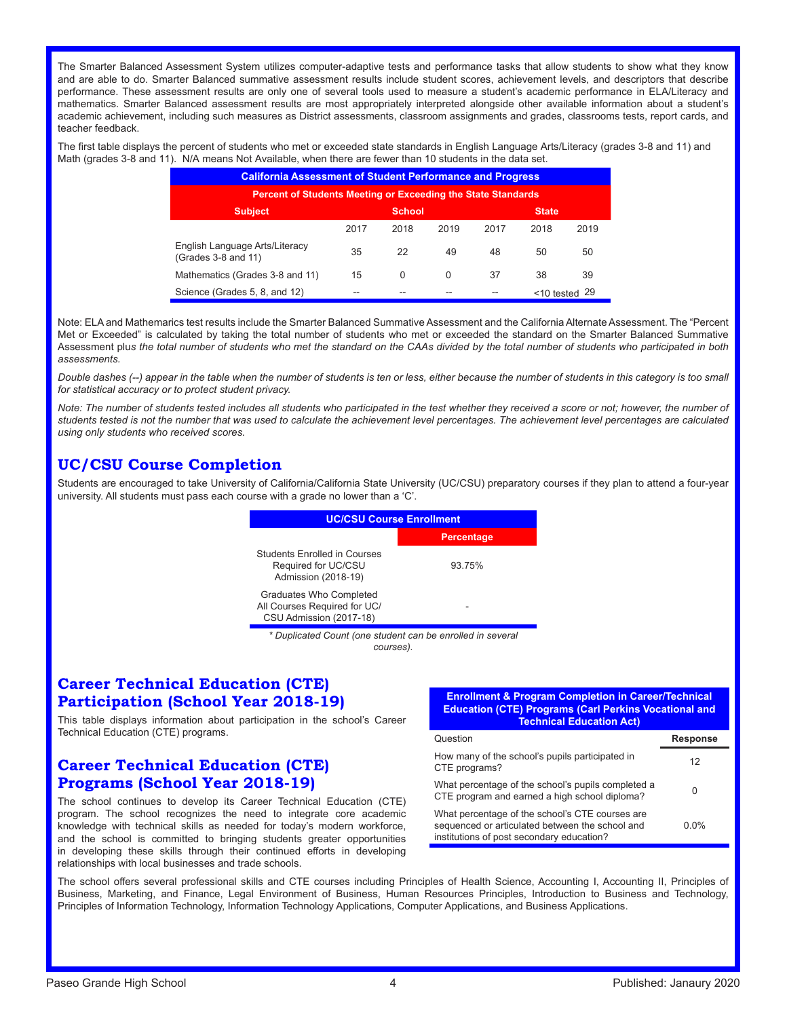The Smarter Balanced Assessment System utilizes computer-adaptive tests and performance tasks that allow students to show what they know and are able to do. Smarter Balanced summative assessment results include student scores, achievement levels, and descriptors that describe performance. These assessment results are only one of several tools used to measure a student's academic performance in ELA/Literacy and mathematics. Smarter Balanced assessment results are most appropriately interpreted alongside other available information about a student's academic achievement, including such measures as District assessments, classroom assignments and grades, classrooms tests, report cards, and teacher feedback.

The first table displays the percent of students who met or exceeded state standards in English Language Arts/Literacy (grades 3-8 and 11) and Math (grades 3-8 and 11). N/A means Not Available, when there are fewer than 10 students in the data set.

| <b>California Assessment of Student Performance and Progress</b>    |      |          |      |      |      |      |
|---------------------------------------------------------------------|------|----------|------|------|------|------|
| <b>Percent of Students Meeting or Exceeding the State Standards</b> |      |          |      |      |      |      |
| <b>Subject</b><br><b>School</b><br><b>State</b>                     |      |          |      |      |      |      |
|                                                                     | 2017 | 2018     | 2019 | 2017 | 2018 | 2019 |
| English Language Arts/Literacy<br>(Grades 3-8 and 11)               | 35   | 22       | 49   | 48   | 50   | 50   |
| Mathematics (Grades 3-8 and 11)                                     | 15   | $\Omega$ | 0    | 37   | 38   | 39   |
| Science (Grades 5, 8, and 12)<br><10 tested                         |      |          |      |      |      |      |

Note: ELA and Mathemarics test results include the Smarter Balanced Summative Assessment and the California Alternate Assessment. The "Percent Met or Exceeded" is calculated by taking the total number of students who met or exceeded the standard on the Smarter Balanced Summative Assessment plu*s the total number of students who met the standard on the CAAs divided by the total number of students who participated in both assessments.*

*Double dashes (--) appear in the table when the number of students is ten or less, either because the number of students in this category is too small for statistical accuracy or to protect student privacy.*

Note: The number of students tested includes all students who participated in the test whether they received a score or not; however, the number of *students tested is not the number that was used to calculate the achievement level percentages. The achievement level percentages are calculated using only students who received scores.*

## **UC/CSU Course Completion**

Students are encouraged to take University of California/California State University (UC/CSU) preparatory courses if they plan to attend a four-year university. All students must pass each course with a grade no lower than a 'C'.

| <b>UC/CSU Course Enrollment</b>                                                    |                   |  |  |  |  |
|------------------------------------------------------------------------------------|-------------------|--|--|--|--|
|                                                                                    | <b>Percentage</b> |  |  |  |  |
| <b>Students Enrolled in Courses</b><br>Required for UC/CSU<br>Admission (2018-19)  | 93.75%            |  |  |  |  |
| Graduates Who Completed<br>All Courses Required for UC/<br>CSU Admission (2017-18) |                   |  |  |  |  |
| * Duplicated Count (one student can be enrolled in several                         |                   |  |  |  |  |

*courses).*

#### **Career Technical Education (CTE) Participation (School Year 2018-19)**

This table displays information about participation in the school's Career Technical Education (CTE) programs.

#### **Career Technical Education (CTE) Programs (School Year 2018-19)**

The school continues to develop its Career Technical Education (CTE) program. The school recognizes the need to integrate core academic knowledge with technical skills as needed for today's modern workforce, and the school is committed to bringing students greater opportunities in developing these skills through their continued efforts in developing relationships with local businesses and trade schools.

**Enrollment & Program Completion in Career/Technical Education (CTE) Programs (Carl Perkins Vocational and Technical Education Act)**

| Question                                                                                                                                        | Response |
|-------------------------------------------------------------------------------------------------------------------------------------------------|----------|
| How many of the school's pupils participated in<br>CTE programs?                                                                                | 12       |
| What percentage of the school's pupils completed a<br>CTE program and earned a high school diploma?                                             | 0        |
| What percentage of the school's CTE courses are<br>sequenced or articulated between the school and<br>institutions of post secondary education? | $0.0\%$  |

The school offers several professional skills and CTE courses including Principles of Health Science, Accounting I, Accounting II, Principles of Business, Marketing, and Finance, Legal Environment of Business, Human Resources Principles, Introduction to Business and Technology, Principles of Information Technology, Information Technology Applications, Computer Applications, and Business Applications.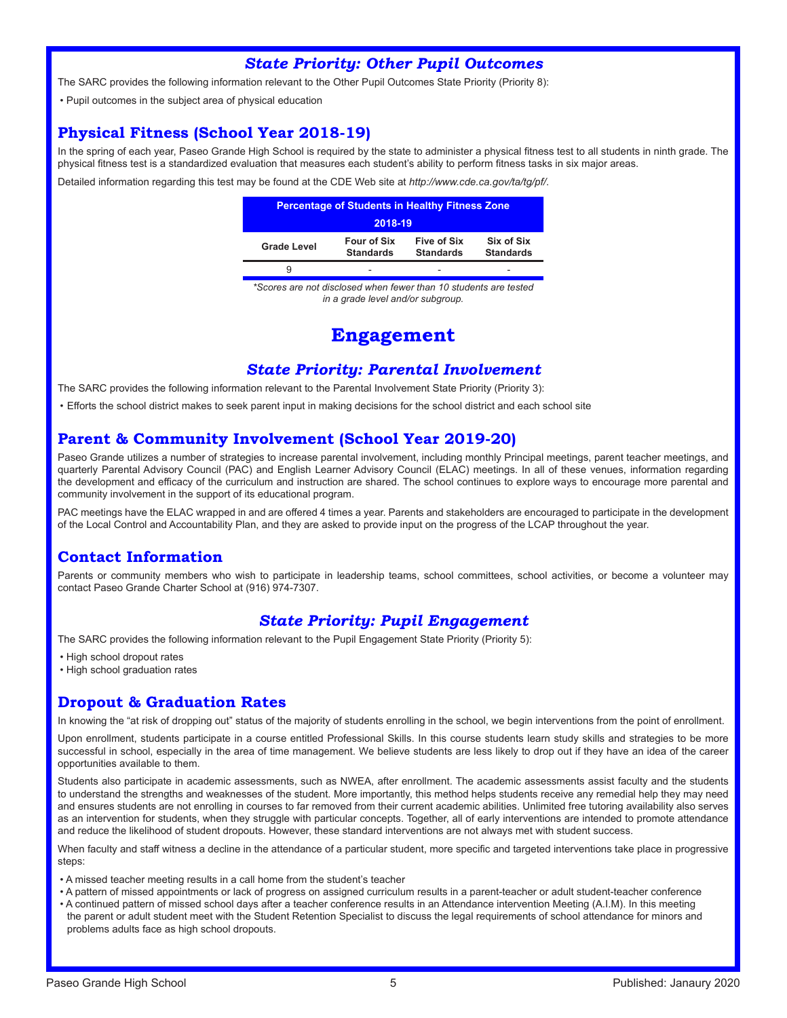#### *State Priority: Other Pupil Outcomes*

The SARC provides the following information relevant to the Other Pupil Outcomes State Priority (Priority 8):

• Pupil outcomes in the subject area of physical education

#### **Physical Fitness (School Year 2018-19)**

In the spring of each year, Paseo Grande High School is required by the state to administer a physical fitness test to all students in ninth grade. The physical fitness test is a standardized evaluation that measures each student's ability to perform fitness tasks in six major areas.

Detailed information regarding this test may be found at the CDE Web site at *http://www.cde.ca.gov/ta/tg/pf/*.

| <b>Percentage of Students in Healthy Fitness Zone</b>                                                                             |  |  |  |  |  |  |
|-----------------------------------------------------------------------------------------------------------------------------------|--|--|--|--|--|--|
| 2018-19                                                                                                                           |  |  |  |  |  |  |
| Six of Six<br><b>Four of Six</b><br>Five of Six<br><b>Grade Level</b><br><b>Standards</b><br><b>Standards</b><br><b>Standards</b> |  |  |  |  |  |  |
|                                                                                                                                   |  |  |  |  |  |  |

*\*Scores are not disclosed when fewer than 10 students are tested in a grade level and/or subgroup.*

# **Engagement**

#### *State Priority: Parental Involvement*

The SARC provides the following information relevant to the Parental Involvement State Priority (Priority 3):

• Efforts the school district makes to seek parent input in making decisions for the school district and each school site

#### **Parent & Community Involvement (School Year 2019-20)**

Paseo Grande utilizes a number of strategies to increase parental involvement, including monthly Principal meetings, parent teacher meetings, and quarterly Parental Advisory Council (PAC) and English Learner Advisory Council (ELAC) meetings. In all of these venues, information regarding the development and efficacy of the curriculum and instruction are shared. The school continues to explore ways to encourage more parental and community involvement in the support of its educational program.

PAC meetings have the ELAC wrapped in and are offered 4 times a year. Parents and stakeholders are encouraged to participate in the development of the Local Control and Accountability Plan, and they are asked to provide input on the progress of the LCAP throughout the year.

## **Contact Information**

Parents or community members who wish to participate in leadership teams, school committees, school activities, or become a volunteer may contact Paseo Grande Charter School at (916) 974-7307.

#### *State Priority: Pupil Engagement*

The SARC provides the following information relevant to the Pupil Engagement State Priority (Priority 5):

• High school dropout rates

• High school graduation rates

#### **Dropout & Graduation Rates**

In knowing the "at risk of dropping out" status of the majority of students enrolling in the school, we begin interventions from the point of enrollment.

Upon enrollment, students participate in a course entitled Professional Skills. In this course students learn study skills and strategies to be more successful in school, especially in the area of time management. We believe students are less likely to drop out if they have an idea of the career opportunities available to them.

Students also participate in academic assessments, such as NWEA, after enrollment. The academic assessments assist faculty and the students to understand the strengths and weaknesses of the student. More importantly, this method helps students receive any remedial help they may need and ensures students are not enrolling in courses to far removed from their current academic abilities. Unlimited free tutoring availability also serves as an intervention for students, when they struggle with particular concepts. Together, all of early interventions are intended to promote attendance and reduce the likelihood of student dropouts. However, these standard interventions are not always met with student success.

When faculty and staff witness a decline in the attendance of a particular student, more specific and targeted interventions take place in progressive steps:

- A missed teacher meeting results in a call home from the student's teacher
- A pattern of missed appointments or lack of progress on assigned curriculum results in a parent-teacher or adult student-teacher conference
- A continued pattern of missed school days after a teacher conference results in an Attendance intervention Meeting (A.I.M). In this meeting the parent or adult student meet with the Student Retention Specialist to discuss the legal requirements of school attendance for minors and problems adults face as high school dropouts.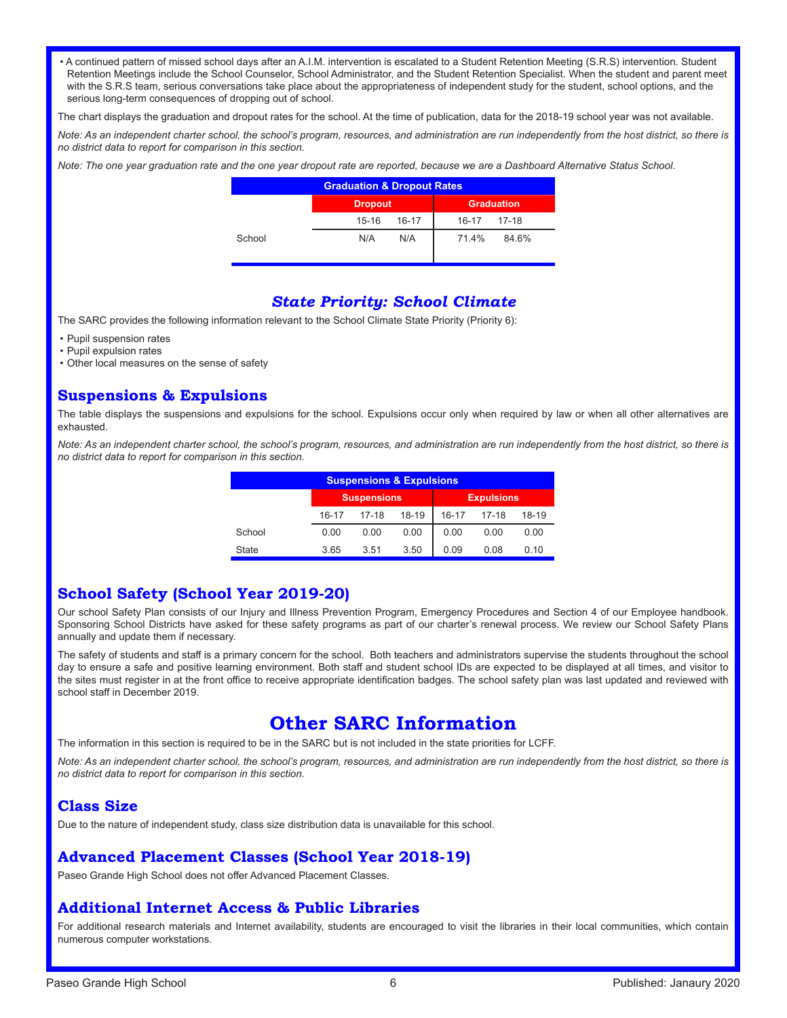• A continued pattern of missed school days after an A.I.M. intervention is escalated to a Student Retention Meeting (S.R.S) intervention. Student Retention Meetings include the School Counselor, School Administrator, and the Student Retention Specialist. When the student and parent meet with the S.R.S team, serious conversations take place about the appropriateness of independent study for the student, school options, and the serious long-term consequences of dropping out of school.

The chart displays the graduation and dropout rates for the school. At the time of publication, data for the 2018-19 school year was not available.

*Note: As an independent charter school, the school's program, resources, and administration are run independently from the host district, so there is no district data to report for comparison in this section.* 

*Note: The one year graduation rate and the one year dropout rate are reported, because we are a Dashboard Alternative Status School.*

| <b>Graduation &amp; Dropout Rates</b> |                    |                   |  |  |  |
|---------------------------------------|--------------------|-------------------|--|--|--|
|                                       | <b>Dropout</b>     | <b>Graduation</b> |  |  |  |
|                                       | $15 - 16$<br>16-17 | 16-17 17-18       |  |  |  |
| School                                | N/A<br>N/A         | 71.4%<br>84.6%    |  |  |  |

#### *State Priority: School Climate*

The SARC provides the following information relevant to the School Climate State Priority (Priority 6):

- Pupil suspension rates
- Pupil expulsion rates
- Other local measures on the sense of safety

#### **Suspensions & Expulsions**

The table displays the suspensions and expulsions for the school. Expulsions occur only when required by law or when all other alternatives are exhausted.

*Note: As an independent charter school, the school's program, resources, and administration are run independently from the host district, so there is no district data to report for comparison in this section.* 

| <b>Suspensions &amp; Expulsions</b> |       |                    |       |       |                   |       |
|-------------------------------------|-------|--------------------|-------|-------|-------------------|-------|
|                                     |       | <b>Suspensions</b> |       |       | <b>Expulsions</b> |       |
|                                     | 16-17 | $17-18$            | 18-19 | 16-17 | $17-18$           | 18-19 |
| School                              | 0.00  | 0.00               | 0.00  | 0.00  | 0.00              | 0.00  |
| <b>State</b>                        | 3.65  | 3.51               | 3.50  | 0.09  | 0.08              | 0.10  |

## **School Safety (School Year 2019-20)**

Our school Safety Plan consists of our Injury and Illness Prevention Program, Emergency Procedures and Section 4 of our Employee handbook. Sponsoring School Districts have asked for these safety programs as part of our charter's renewal process. We review our School Safety Plans annually and update them if necessary.

The safety of students and staff is a primary concern for the school. Both teachers and administrators supervise the students throughout the school day to ensure a safe and positive learning environment. Both staff and student school IDs are expected to be displayed at all times, and visitor to the sites must register in at the front office to receive appropriate identification badges. The school safety plan was last updated and reviewed with school staff in December 2019.

# **Other SARC Information**

The information in this section is required to be in the SARC but is not included in the state priorities for LCFF.

*Note: As an independent charter school, the school's program, resources, and administration are run independently from the host district, so there is no district data to report for comparison in this section.* 

#### **Class Size**

Due to the nature of independent study, class size distribution data is unavailable for this school.

#### **Advanced Placement Classes (School Year 2018-19)**

Paseo Grande High School does not offer Advanced Placement Classes.

#### **Additional Internet Access & Public Libraries**

For additional research materials and Internet availability, students are encouraged to visit the libraries in their local communities, which contain numerous computer workstations.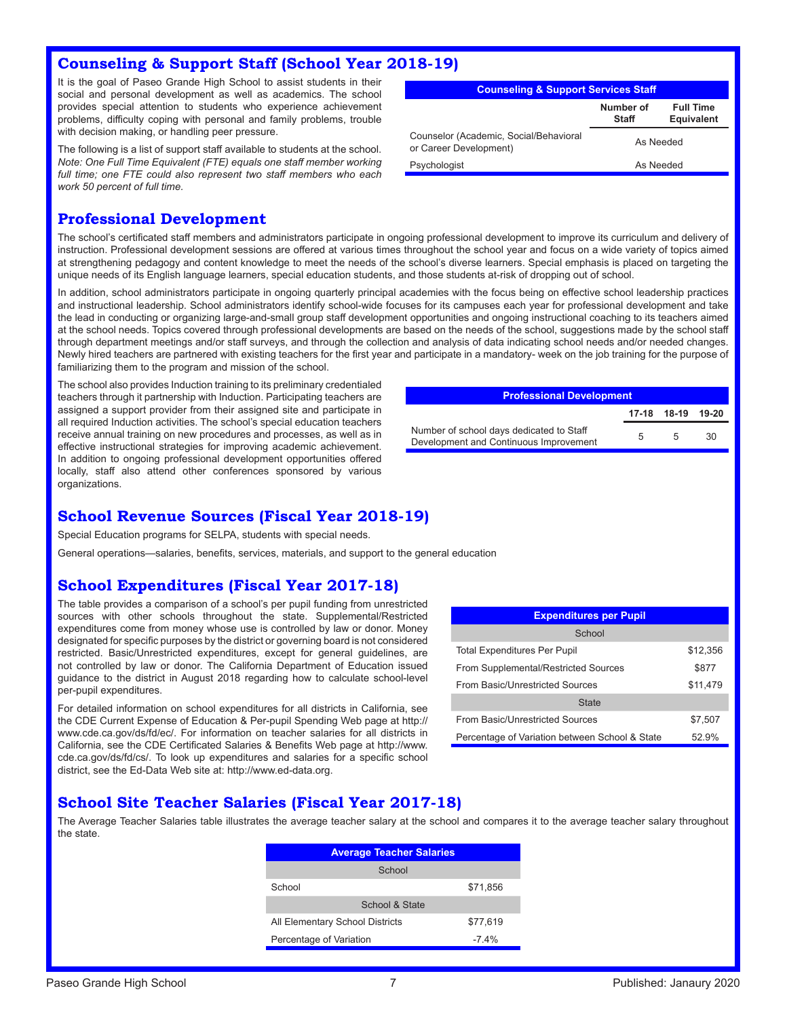#### **Counseling & Support Staff (School Year 2018-19)**

It is the goal of Paseo Grande High School to assist students in their social and personal development as well as academics. The school provides special attention to students who experience achievement problems, difficulty coping with personal and family problems, trouble with decision making, or handling peer pressure.

The following is a list of support staff available to students at the school. *Note: One Full Time Equivalent (FTE) equals one staff member working full time; one FTE could also represent two staff members who each work 50 percent of full time.*

| <b>Counseling &amp; Support Services Staff</b>                   |           |  |  |  |  |  |
|------------------------------------------------------------------|-----------|--|--|--|--|--|
| Number of<br><b>Full Time</b><br><b>Equivalent</b><br>Staff      |           |  |  |  |  |  |
| Counselor (Academic, Social/Behavioral<br>or Career Development) | As Needed |  |  |  |  |  |
| Psychologist<br>As Needed                                        |           |  |  |  |  |  |

#### **Professional Development**

The school's certificated staff members and administrators participate in ongoing professional development to improve its curriculum and delivery of instruction. Professional development sessions are offered at various times throughout the school year and focus on a wide variety of topics aimed at strengthening pedagogy and content knowledge to meet the needs of the school's diverse learners. Special emphasis is placed on targeting the unique needs of its English language learners, special education students, and those students at-risk of dropping out of school.

In addition, school administrators participate in ongoing quarterly principal academies with the focus being on effective school leadership practices and instructional leadership. School administrators identify school-wide focuses for its campuses each year for professional development and take the lead in conducting or organizing large-and-small group staff development opportunities and ongoing instructional coaching to its teachers aimed at the school needs. Topics covered through professional developments are based on the needs of the school, suggestions made by the school staff through department meetings and/or staff surveys, and through the collection and analysis of data indicating school needs and/or needed changes. Newly hired teachers are partnered with existing teachers for the first year and participate in a mandatory- week on the job training for the purpose of familiarizing them to the program and mission of the school.

The school also provides Induction training to its preliminary credentialed teachers through it partnership with Induction. Participating teachers are assigned a support provider from their assigned site and participate in all required Induction activities. The school's special education teachers receive annual training on new procedures and processes, as well as in effective instructional strategies for improving academic achievement. In addition to ongoing professional development opportunities offered locally, staff also attend other conferences sponsored by various organizations.

| <b>Professional Development</b>                                                    |   |                   |     |  |
|------------------------------------------------------------------------------------|---|-------------------|-----|--|
|                                                                                    |   | 17-18 18-19 19-20 |     |  |
| Number of school days dedicated to Staff<br>Development and Continuous Improvement | 5 | -5                | -30 |  |
|                                                                                    |   |                   |     |  |

#### **School Revenue Sources (Fiscal Year 2018-19)**

Special Education programs for SELPA, students with special needs.

General operations—salaries, benefits, services, materials, and support to the general education

#### **School Expenditures (Fiscal Year 2017-18)**

The table provides a comparison of a school's per pupil funding from unrestricted sources with other schools throughout the state. Supplemental/Restricted expenditures come from money whose use is controlled by law or donor. Money designated for specific purposes by the district or governing board is not considered restricted. Basic/Unrestricted expenditures, except for general guidelines, are not controlled by law or donor. The California Department of Education issued guidance to the district in August 2018 regarding how to calculate school-level per-pupil expenditures.

For detailed information on school expenditures for all districts in California, see the CDE Current Expense of Education & Per-pupil Spending Web page at http:// www.cde.ca.gov/ds/fd/ec/. For information on teacher salaries for all districts in California, see the CDE Certificated Salaries & Benefits Web page at http://www. cde.ca.gov/ds/fd/cs/. To look up expenditures and salaries for a specific school district, see the Ed-Data Web site at: http://www.ed-data.org.

| <b>Expenditures per Pupil</b>                  |          |  |  |
|------------------------------------------------|----------|--|--|
| School                                         |          |  |  |
| <b>Total Expenditures Per Pupil</b>            | \$12,356 |  |  |
| From Supplemental/Restricted Sources           | \$877    |  |  |
| From Basic/Unrestricted Sources                | \$11.479 |  |  |
| <b>State</b>                                   |          |  |  |
| From Basic/Unrestricted Sources                | \$7,507  |  |  |
| Percentage of Variation between School & State | 52.9%    |  |  |

#### **School Site Teacher Salaries (Fiscal Year 2017-18)**

The Average Teacher Salaries table illustrates the average teacher salary at the school and compares it to the average teacher salary throughout the state.

| <b>Average Teacher Salaries</b> |          |
|---------------------------------|----------|
| School                          |          |
| School                          | \$71,856 |
| School & State                  |          |
| All Elementary School Districts | \$77,619 |
| Percentage of Variation         | $-7.4\%$ |